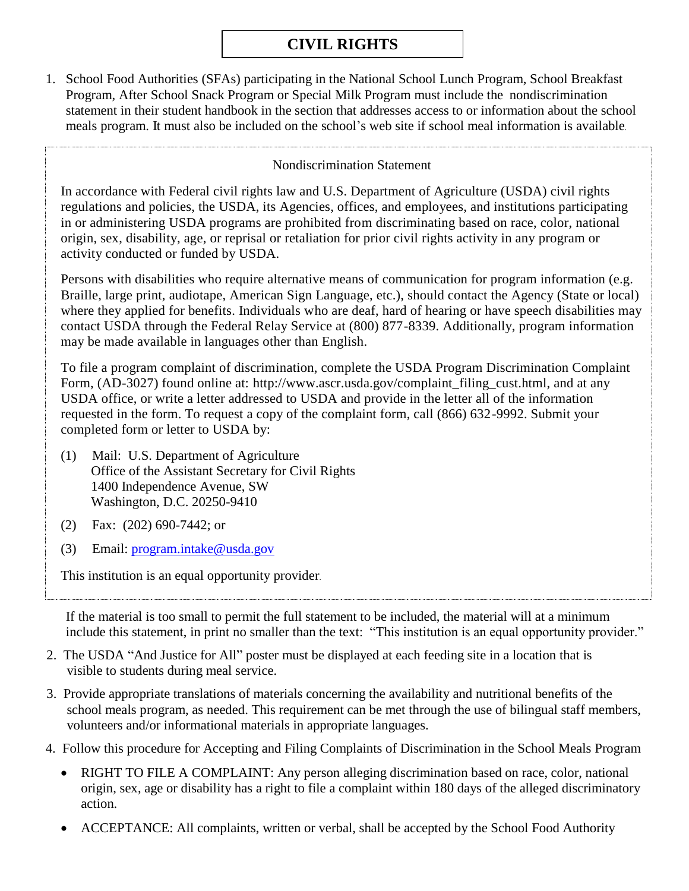## **CIVIL RIGHTS**

1. School Food Authorities (SFAs) participating in the National School Lunch Program, School Breakfast Program, After School Snack Program or Special Milk Program must include the nondiscrimination statement in their student handbook in the section that addresses access to or information about the school meals program. It must also be included on the school's web site if school meal information is available.

## Nondiscrimination Statement

In accordance with Federal civil rights law and U.S. Department of Agriculture (USDA) civil rights regulations and policies, the USDA, its Agencies, offices, and employees, and institutions participating in or administering USDA programs are prohibited from discriminating based on race, color, national origin, sex, disability, age, or reprisal or retaliation for prior civil rights activity in any program or activity conducted or funded by USDA.

Persons with disabilities who require alternative means of communication for program information (e.g. Braille, large print, audiotape, American Sign Language, etc.), should contact the Agency (State or local) where they applied for benefits. Individuals who are deaf, hard of hearing or have speech disabilities may contact USDA through the Federal Relay Service at (800) 877-8339. Additionally, program information may be made available in languages other than English.

To file a program complaint of discrimination, complete the USDA Program Discrimination Complaint Form, (AD-3027) found online at: http://www.ascr.usda.gov/complaint\_filing\_cust.html, and at any USDA office, or write a letter addressed to USDA and provide in the letter all of the information requested in the form. To request a copy of the complaint form, call (866) 632-9992. Submit your completed form or letter to USDA by:

- (1) Mail: U.S. Department of Agriculture Office of the Assistant Secretary for Civil Rights 1400 Independence Avenue, SW Washington, D.C. 20250-9410
- (2) Fax: (202) 690-7442; or
- (3) Email: [program.intake@usda.gov](mailto:program.intake@usda.gov)

This institution is an equal opportunity provider.

If the material is too small to permit the full statement to be included, the material will at a minimum include this statement, in print no smaller than the text: "This institution is an equal opportunity provider."

- 2. The USDA "And Justice for All" poster must be displayed at each feeding site in a location that is visible to students during meal service.
- 3. Provide appropriate translations of materials concerning the availability and nutritional benefits of the school meals program, as needed. This requirement can be met through the use of bilingual staff members, volunteers and/or informational materials in appropriate languages.
- 4. Follow this procedure for Accepting and Filing Complaints of Discrimination in the School Meals Program
	- RIGHT TO FILE A COMPLAINT: Any person alleging discrimination based on race, color, national origin, sex, age or disability has a right to file a complaint within 180 days of the alleged discriminatory action.
	- ACCEPTANCE: All complaints, written or verbal, shall be accepted by the School Food Authority